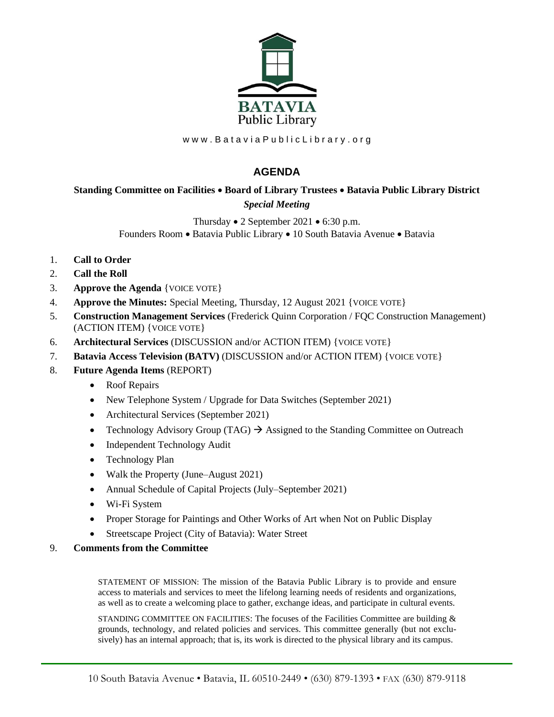

www.BataviaPublicLibrary.org

## **AGENDA**

## **Standing Committee on Facilities** • **Board of Library Trustees** • **Batavia Public Library District** *Special Meeting*

Thursday • 2 September 2021 • 6:30 p.m. Founders Room • Batavia Public Library • 10 South Batavia Avenue • Batavia

- 1. **Call to Order**
- 2. **Call the Roll**
- 3. **Approve the Agenda** {VOICE VOTE}
- 4. **Approve the Minutes:** Special Meeting, Thursday, 12 August 2021 {VOICE VOTE}
- 5. **Construction Management Services** (Frederick Quinn Corporation / FQC Construction Management) (ACTION ITEM) {VOICE VOTE}
- 6. **Architectural Services** (DISCUSSION and/or ACTION ITEM) {VOICE VOTE}
- 7. **Batavia Access Television (BATV)** (DISCUSSION and/or ACTION ITEM) {VOICE VOTE}
- 8. **Future Agenda Items** (REPORT)
	- Roof Repairs
	- New Telephone System / Upgrade for Data Switches (September 2021)
	- Architectural Services (September 2021)
	- Technology Advisory Group (TAG)  $\rightarrow$  Assigned to the Standing Committee on Outreach
	- Independent Technology Audit
	- Technology Plan
	- Walk the Property (June–August 2021)
	- Annual Schedule of Capital Projects (July–September 2021)
	- Wi-Fi System
	- Proper Storage for Paintings and Other Works of Art when Not on Public Display
	- Streetscape Project (City of Batavia): Water Street
- 9. **Comments from the Committee**

STATEMENT OF MISSION: The mission of the Batavia Public Library is to provide and ensure access to materials and services to meet the lifelong learning needs of residents and organizations, as well as to create a welcoming place to gather, exchange ideas, and participate in cultural events.

STANDING COMMITTEE ON FACILITIES: The focuses of the Facilities Committee are building  $\&$ grounds, technology, and related policies and services. This committee generally (but not exclusively) has an internal approach; that is, its work is directed to the physical library and its campus.